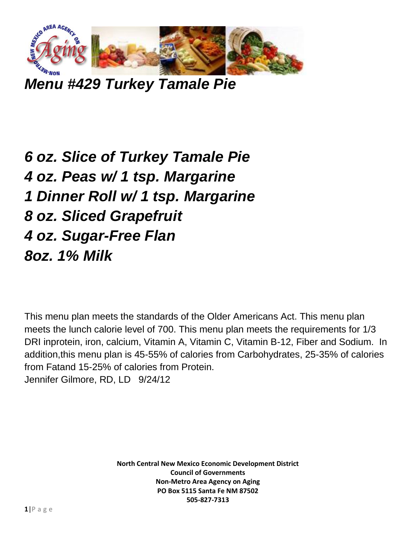

*Menu #429 Turkey Tamale Pie*

*6 oz. Slice of Turkey Tamale Pie 4 oz. Peas w/ 1 tsp. Margarine 1 Dinner Roll w/ 1 tsp. Margarine 8 oz. Sliced Grapefruit 4 oz. Sugar-Free Flan 8oz. 1% Milk*

This menu plan meets the standards of the Older Americans Act. This menu plan meets the lunch calorie level of 700. This menu plan meets the requirements for 1/3 DRI inprotein, iron, calcium, Vitamin A, Vitamin C, Vitamin B-12, Fiber and Sodium. In addition,this menu plan is 45-55% of calories from Carbohydrates, 25-35% of calories from Fatand 15-25% of calories from Protein. Jennifer Gilmore, RD, LD 9/24/12

> **North Central New Mexico Economic Development District Council of Governments Non-Metro Area Agency on Aging PO Box 5115 Santa Fe NM 87502 505-827-7313**